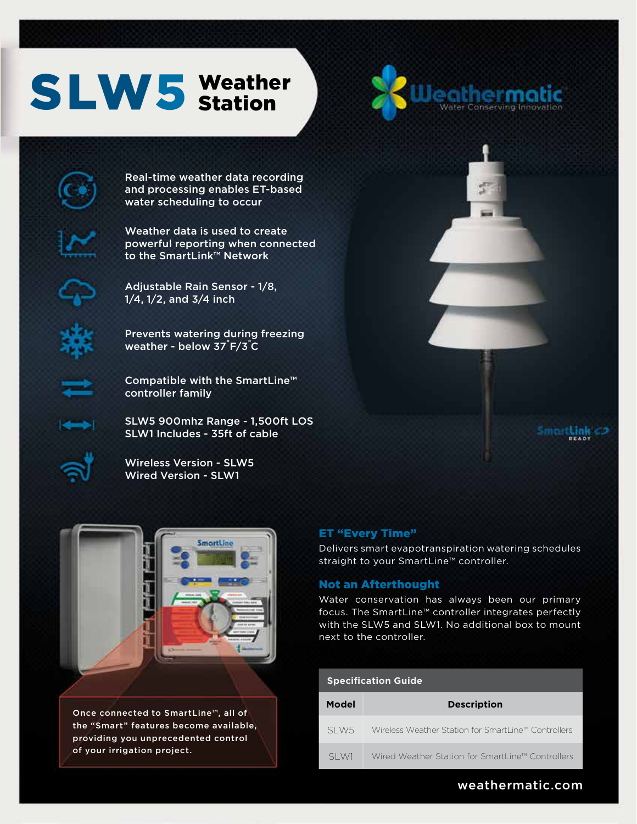# Weather SLW5 Weathe





Real-time weather data recording and processing enables ET-based water scheduling to occur



Weather data is used to create powerful reporting when connected to the SmartLink™ Network



Adjustable Rain Sensor - 1/8, 1/4, 1/2, and 3/4 inch

Prevents watering during freezing weather - below 37 F/3 C



Compatible with the SmartLine™ controller family

SLW5 900mhz Range - 1,500ft LOS SLW1 Includes - 35ft of cable

Wireless Version - SLW5 Wired Version - SLW1



Smort**Link** 



Once connected to SmartLine™, all of the "Smart" features become available, providing you unprecedented control of your irrigation project.

#### ET "Every Time"

Delivers smart evapotranspiration watering schedules straight to your SmartLine™ controller.

#### Not an Afterthought

Water conservation has always been our primary focus. The SmartLine™ controller integrates perfectly with the SLW5 and SLW1. No additional box to mount next to the controller.

#### **Specification Guide**

| Model | <b>Description</b>                                  |
|-------|-----------------------------------------------------|
| SLW5  | Wireless Weather Station for SmartLine™ Controllers |
| SI W1 | Wired Weather Station for SmartLine™ Controllers    |

# weathermatic.com